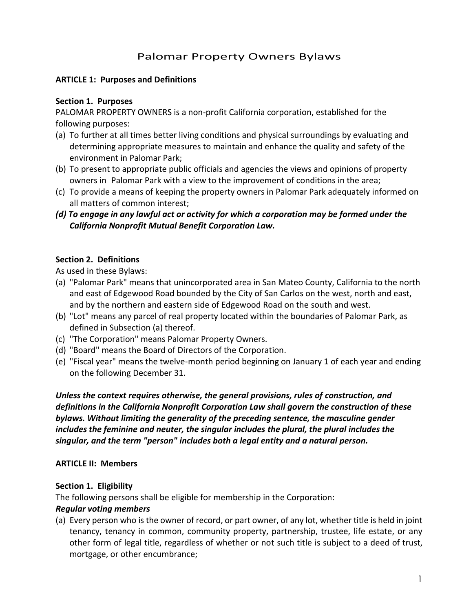# Palomar Property Owners Bylaws

### **ARTICLE 1: Purposes and Definitions**

#### **Section 1. Purposes**

PALOMAR PROPERTY OWNERS is a non-profit California corporation, established for the following purposes:

- (a) To further at all times better living conditions and physical surroundings by evaluating and determining appropriate measures to maintain and enhance the quality and safety of the environment in Palomar Park;
- (b) To present to appropriate public officials and agencies the views and opinions of property owners in Palomar Park with a view to the improvement of conditions in the area;
- (c) To provide a means of keeping the property owners in Palomar Park adequately informed on all matters of common interest;
- *(d) To engage in any lawful act or activity for which a corporation may be formed under the California Nonprofit Mutual Benefit Corporation Law.*

### **Section 2. Definitions**

As used in these Bylaws:

- (a) "Palomar Park" means that unincorporated area in San Mateo County, California to the north and east of Edgewood Road bounded by the City of San Carlos on the west, north and east, and by the northern and eastern side of Edgewood Road on the south and west.
- (b) "Lot" means any parcel of real property located within the boundaries of Palomar Park, as defined in Subsection (a) thereof.
- (c) "The Corporation" means Palomar Property Owners.
- (d) "Board" means the Board of Directors of the Corporation.
- (e) "Fiscal year" means the twelve-month period beginning on January 1 of each year and ending on the following December 31.

*Unless the context requires otherwise, the general provisions, rules of construction, and definitions in the California Nonprofit Corporation Law shall govern the construction of these bylaws. Without limiting the generality of the preceding sentence, the masculine gender includes the feminine and neuter, the singular includes the plural, the plural includes the singular, and the term "person" includes both a legal entity and a natural person.*

#### **ARTICLE II: Members**

#### **Section 1. Eligibility**

The following persons shall be eligible for membership in the Corporation:

#### *Regular voting members*

(a) Every person who is the owner of record, or part owner, of any lot, whether title is held in joint tenancy, tenancy in common, community property, partnership, trustee, life estate, or any other form of legal title, regardless of whether or not such title is subject to a deed of trust, mortgage, or other encumbrance;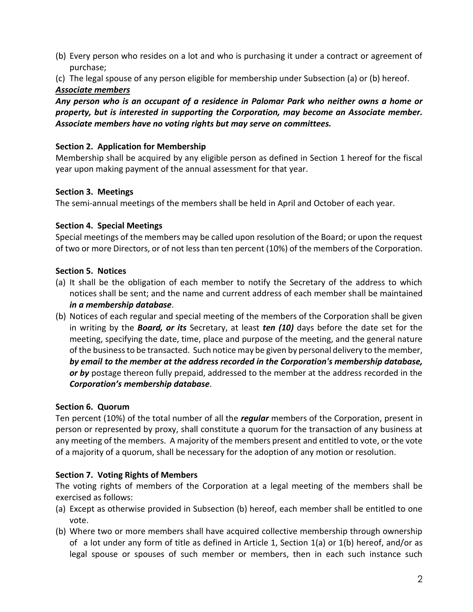(b) Every person who resides on a lot and who is purchasing it under a contract or agreement of purchase;

(c) The legal spouse of any person eligible for membership under Subsection (a) or (b) hereof. *Associate members*

*Any person who is an occupant of a residence in Palomar Park who neither owns a home or property, but is interested in supporting the Corporation, may become an Associate member. Associate members have no voting rights but may serve on committees.*

### **Section 2. Application for Membership**

Membership shall be acquired by any eligible person as defined in Section 1 hereof for the fiscal year upon making payment of the annual assessment for that year.

#### **Section 3. Meetings**

The semi-annual meetings of the members shall be held in April and October of each year.

#### **Section 4. Special Meetings**

Special meetings of the members may be called upon resolution of the Board; or upon the request of two or more Directors, or of not less than ten percent (10%) of the members of the Corporation.

#### **Section 5. Notices**

- (a) It shall be the obligation of each member to notify the Secretary of the address to which notices shall be sent; and the name and current address of each member shall be maintained *in a membership database*.
- (b) Notices of each regular and special meeting of the members of the Corporation shall be given in writing by the *Board, or its* Secretary, at least *ten (10)* days before the date set for the meeting, specifying the date, time, place and purpose of the meeting, and the general nature of the business to be transacted. Such notice may be given by personal delivery to the member, *by email to the member at the address recorded in the Corporation's membership database, or by* postage thereon fully prepaid, addressed to the member at the address recorded in the *Corporation's membership database*.

### **Section 6. Quorum**

Ten percent (10%) of the total number of all the *regular* members of the Corporation, present in person or represented by proxy, shall constitute a quorum for the transaction of any business at any meeting of the members. A majority of the members present and entitled to vote, or the vote of a majority of a quorum, shall be necessary for the adoption of any motion or resolution.

### **Section 7. Voting Rights of Members**

The voting rights of members of the Corporation at a legal meeting of the members shall be exercised as follows:

- (a) Except as otherwise provided in Subsection (b) hereof, each member shall be entitled to one vote.
- (b) Where two or more members shall have acquired collective membership through ownership of a lot under any form of title as defined in Article 1, Section 1(a) or 1(b) hereof, and/or as legal spouse or spouses of such member or members, then in each such instance such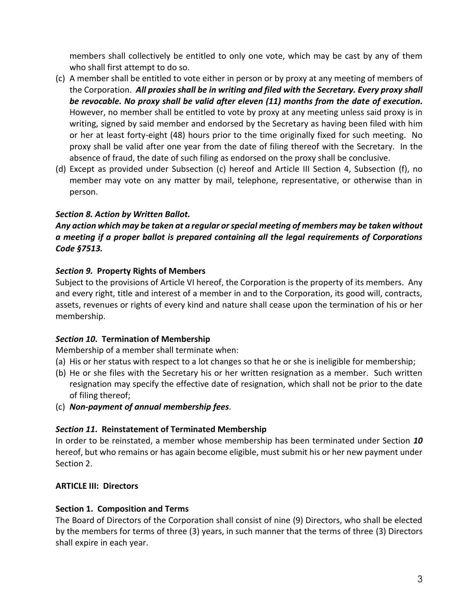members shall collectively be entitled to only one vote, which may be cast by any of them who shall first attempt to do so.

- (c) A member shall be entitled to vote either in person or by proxy at any meeting of members of the Corporation. *All proxies shall be in writing and filed with the Secretary. Every proxy shall be revocable. No proxy shall be valid after eleven (11) months from the date of execution.* However, no member shall be entitled to vote by proxy at any meeting unless said proxy is in writing, signed by said member and endorsed by the Secretary as having been filed with him or her at least forty-eight (48) hours prior to the time originally fixed for such meeting. No proxy shall be valid after one year from the date of filing thereof with the Secretary. In the absence of fraud, the date of such filing as endorsed on the proxy shall be conclusive.
- (d) Except as provided under Subsection (c) hereof and Article III Section 4, Subsection (f), no member may vote on any matter by mail, telephone, representative, or otherwise than in person.

## *Section 8. Action by Written Ballot.*

## *Any action which may be taken at a regular or special meeting of members may be taken without a meeting if a proper ballot is prepared containing all the legal requirements of Corporations Code §7513.*

### *Section 9.* **Property Rights of Members**

Subject to the provisions of Article VI hereof, the Corporation is the property of its members. Any and every right, title and interest of a member in and to the Corporation, its good will, contracts, assets, revenues or rights of every kind and nature shall cease upon the termination of his or her membership.

### *Section 10***. Termination of Membership**

Membership of a member shall terminate when:

- (a) His or her status with respect to a lot changes so that he or she is ineligible for membership;
- (b) He or she files with the Secretary his or her written resignation as a member. Such written resignation may specify the effective date of resignation, which shall not be prior to the date of filing thereof;
- (c) *Non-payment of annual membership fees*.

## *Section 11***. Reinstatement of Terminated Membership**

In order to be reinstated, a member whose membership has been terminated under Section *10* hereof, but who remains or has again become eligible, must submit his or her new payment under Section 2.

## **ARTICLE III: Directors**

### **Section 1. Composition and Terms**

The Board of Directors of the Corporation shall consist of nine (9) Directors, who shall be elected by the members for terms of three (3) years, in such manner that the terms of three (3) Directors shall expire in each year.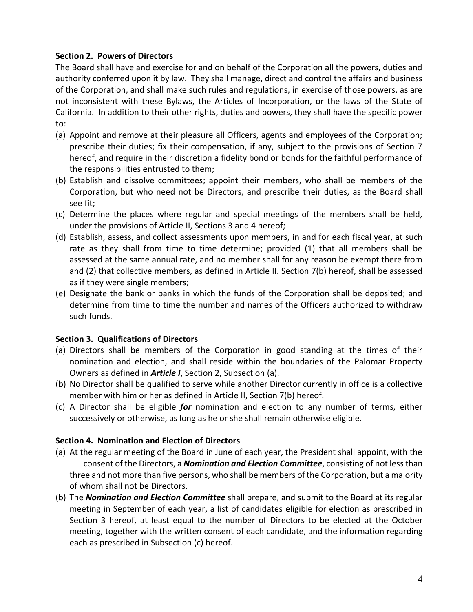### **Section 2. Powers of Directors**

The Board shall have and exercise for and on behalf of the Corporation all the powers, duties and authority conferred upon it by law. They shall manage, direct and control the affairs and business of the Corporation, and shall make such rules and regulations, in exercise of those powers, as are not inconsistent with these Bylaws, the Articles of Incorporation, or the laws of the State of California. In addition to their other rights, duties and powers, they shall have the specific power to:

- (a) Appoint and remove at their pleasure all Officers, agents and employees of the Corporation; prescribe their duties; fix their compensation, if any, subject to the provisions of Section 7 hereof, and require in their discretion a fidelity bond or bonds for the faithful performance of the responsibilities entrusted to them;
- (b) Establish and dissolve committees; appoint their members, who shall be members of the Corporation, but who need not be Directors, and prescribe their duties, as the Board shall see fit;
- (c) Determine the places where regular and special meetings of the members shall be held, under the provisions of Article II, Sections 3 and 4 hereof;
- (d) Establish, assess, and collect assessments upon members, in and for each fiscal year, at such rate as they shall from time to time determine; provided (1) that all members shall be assessed at the same annual rate, and no member shall for any reason be exempt there from and (2) that collective members, as defined in Article II. Section 7(b) hereof, shall be assessed as if they were single members;
- (e) Designate the bank or banks in which the funds of the Corporation shall be deposited; and determine from time to time the number and names of the Officers authorized to withdraw such funds.

### **Section 3. Qualifications of Directors**

- (a) Directors shall be members of the Corporation in good standing at the times of their nomination and election, and shall reside within the boundaries of the Palomar Property Owners as defined in *Article I*, Section 2, Subsection (a).
- (b) No Director shall be qualified to serve while another Director currently in office is a collective member with him or her as defined in Article II, Section 7(b) hereof.
- (c) A Director shall be eligible *for* nomination and election to any number of terms, either successively or otherwise, as long as he or she shall remain otherwise eligible.

#### **Section 4. Nomination and Election of Directors**

- (a) At the regular meeting of the Board in June of each year, the President shall appoint, with the consent of the Directors, a *Nomination and Election Committee*, consisting of not less than three and not more than five persons, who shall be members of the Corporation, but a majority of whom shall not be Directors.
- (b) The *Nomination and Election Committee* shall prepare, and submit to the Board at its regular meeting in September of each year, a list of candidates eligible for election as prescribed in Section 3 hereof, at least equal to the number of Directors to be elected at the October meeting, together with the written consent of each candidate, and the information regarding each as prescribed in Subsection (c) hereof.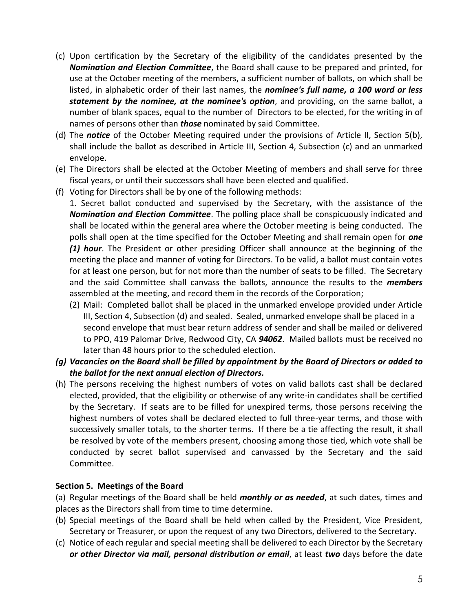- (c) Upon certification by the Secretary of the eligibility of the candidates presented by the *Nomination and Election Committee*, the Board shall cause to be prepared and printed, for use at the October meeting of the members, a sufficient number of ballots, on which shall be listed, in alphabetic order of their last names, the *nominee's full name, a 100 word or less statement by the nominee, at the nominee's option*, and providing, on the same ballot, a number of blank spaces, equal to the number of Directors to be elected, for the writing in of names of persons other than *those* nominated by said Committee.
- (d) The *notice* of the October Meeting required under the provisions of Article II, Section 5(b), shall include the ballot as described in Article III, Section 4, Subsection (c) and an unmarked envelope.
- (e) The Directors shall be elected at the October Meeting of members and shall serve for three fiscal years, or until their successors shall have been elected and qualified.
- (f) Voting for Directors shall be by one of the following methods:

1. Secret ballot conducted and supervised by the Secretary, with the assistance of the *Nomination and Election Committee*. The polling place shall be conspicuously indicated and shall be located within the general area where the October meeting is being conducted. The polls shall open at the time specified for the October Meeting and shall remain open for *one (1) hour*. The President or other presiding Officer shall announce at the beginning of the meeting the place and manner of voting for Directors. To be valid, a ballot must contain votes for at least one person, but for not more than the number of seats to be filled. The Secretary and the said Committee shall canvass the ballots, announce the results to the *members* assembled at the meeting, and record them in the records of the Corporation;

- (2) Mail: Completed ballot shall be placed in the unmarked envelope provided under Article III, Section 4, Subsection (d) and sealed. Sealed, unmarked envelope shall be placed in a second envelope that must bear return address of sender and shall be mailed or delivered to PPO, 419 Palomar Drive, Redwood City, CA *94062*. Mailed ballots must be received no later than 48 hours prior to the scheduled election.
- *(g) Vacancies on the Board shall be filled by appointment by the Board of Directors or added to the ballot for the next annual election of Directors.*
- (h) The persons receiving the highest numbers of votes on valid ballots cast shall be declared elected, provided, that the eligibility or otherwise of any write-in candidates shall be certified by the Secretary. If seats are to be filled for unexpired terms, those persons receiving the highest numbers of votes shall be declared elected to full three-year terms, and those with successively smaller totals, to the shorter terms. If there be a tie affecting the result, it shall be resolved by vote of the members present, choosing among those tied, which vote shall be conducted by secret ballot supervised and canvassed by the Secretary and the said Committee.

#### **Section 5. Meetings of the Board**

(a) Regular meetings of the Board shall be held *monthly or as needed*, at such dates, times and places as the Directors shall from time to time determine.

- (b) Special meetings of the Board shall be held when called by the President, Vice President, Secretary or Treasurer, or upon the request of any two Directors, delivered to the Secretary.
- (c) Notice of each regular and special meeting shall be delivered to each Director by the Secretary *or other Director via mail, personal distribution or email*, at least *two* days before the date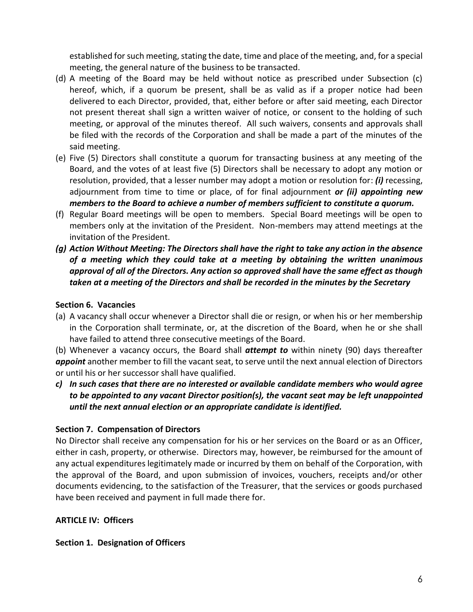established for such meeting, stating the date, time and place of the meeting, and, for a special meeting, the general nature of the business to be transacted.

- (d) A meeting of the Board may be held without notice as prescribed under Subsection (c) hereof, which, if a quorum be present, shall be as valid as if a proper notice had been delivered to each Director, provided, that, either before or after said meeting, each Director not present thereat shall sign a written waiver of notice, or consent to the holding of such meeting, or approval of the minutes thereof. All such waivers, consents and approvals shall be filed with the records of the Corporation and shall be made a part of the minutes of the said meeting.
- (e) Five (5) Directors shall constitute a quorum for transacting business at any meeting of the Board, and the votes of at least five (5) Directors shall be necessary to adopt any motion or resolution, provided, that a lesser number may adopt a motion or resolution for: *(i)* recessing, adjournment from time to time or place, of for final adjournment *or (ii) appointing new members to the Board to achieve a number of members sufficient to constitute a quorum.*
- (f) Regular Board meetings will be open to members. Special Board meetings will be open to members only at the invitation of the President. Non-members may attend meetings at the invitation of the President.
- *(g) Action Without Meeting: The Directors shall have the right to take any action in the absence of a meeting which they could take at a meeting by obtaining the written unanimous approval of all of the Directors. Any action so approved shall have the same effect as though taken at a meeting of the Directors and shall be recorded in the minutes by the Secretary*

## **Section 6. Vacancies**

(a) A vacancy shall occur whenever a Director shall die or resign, or when his or her membership in the Corporation shall terminate, or, at the discretion of the Board, when he or she shall have failed to attend three consecutive meetings of the Board.

(b) Whenever a vacancy occurs, the Board shall *attempt to* within ninety (90) days thereafter *appoint* another member to fill the vacant seat, to serve until the next annual election of Directors or until his or her successor shall have qualified.

*c) In such cases that there are no interested or available candidate members who would agree to be appointed to any vacant Director position(s), the vacant seat may be left unappointed until the next annual election or an appropriate candidate is identified.*

## **Section 7. Compensation of Directors**

No Director shall receive any compensation for his or her services on the Board or as an Officer, either in cash, property, or otherwise. Directors may, however, be reimbursed for the amount of any actual expenditures legitimately made or incurred by them on behalf of the Corporation, with the approval of the Board, and upon submission of invoices, vouchers, receipts and/or other documents evidencing, to the satisfaction of the Treasurer, that the services or goods purchased have been received and payment in full made there for.

### **ARTICLE IV: Officers**

### **Section 1. Designation of Officers**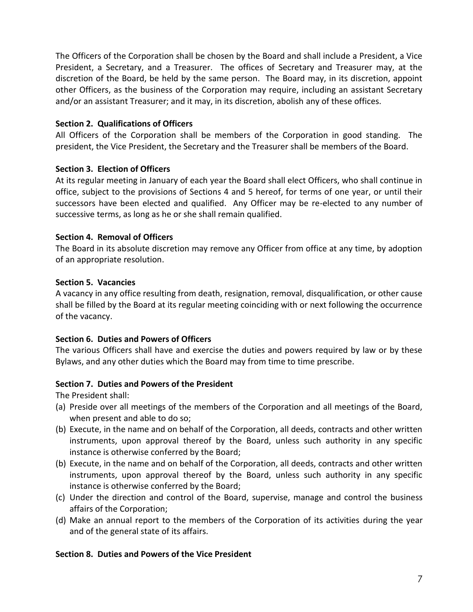The Officers of the Corporation shall be chosen by the Board and shall include a President, a Vice President, a Secretary, and a Treasurer. The offices of Secretary and Treasurer may, at the discretion of the Board, be held by the same person. The Board may, in its discretion, appoint other Officers, as the business of the Corporation may require, including an assistant Secretary and/or an assistant Treasurer; and it may, in its discretion, abolish any of these offices.

### **Section 2. Qualifications of Officers**

All Officers of the Corporation shall be members of the Corporation in good standing. The president, the Vice President, the Secretary and the Treasurer shall be members of the Board.

### **Section 3. Election of Officers**

At its regular meeting in January of each year the Board shall elect Officers, who shall continue in office, subject to the provisions of Sections 4 and 5 hereof, for terms of one year, or until their successors have been elected and qualified. Any Officer may be re-elected to any number of successive terms, as long as he or she shall remain qualified.

### **Section 4. Removal of Officers**

The Board in its absolute discretion may remove any Officer from office at any time, by adoption of an appropriate resolution.

### **Section 5. Vacancies**

A vacancy in any office resulting from death, resignation, removal, disqualification, or other cause shall be filled by the Board at its regular meeting coinciding with or next following the occurrence of the vacancy.

### **Section 6. Duties and Powers of Officers**

The various Officers shall have and exercise the duties and powers required by law or by these Bylaws, and any other duties which the Board may from time to time prescribe.

### **Section 7. Duties and Powers of the President**

The President shall:

- (a) Preside over all meetings of the members of the Corporation and all meetings of the Board, when present and able to do so;
- (b) Execute, in the name and on behalf of the Corporation, all deeds, contracts and other written instruments, upon approval thereof by the Board, unless such authority in any specific instance is otherwise conferred by the Board;
- (b) Execute, in the name and on behalf of the Corporation, all deeds, contracts and other written instruments, upon approval thereof by the Board, unless such authority in any specific instance is otherwise conferred by the Board;
- (c) Under the direction and control of the Board, supervise, manage and control the business affairs of the Corporation;
- (d) Make an annual report to the members of the Corporation of its activities during the year and of the general state of its affairs.

#### **Section 8. Duties and Powers of the Vice President**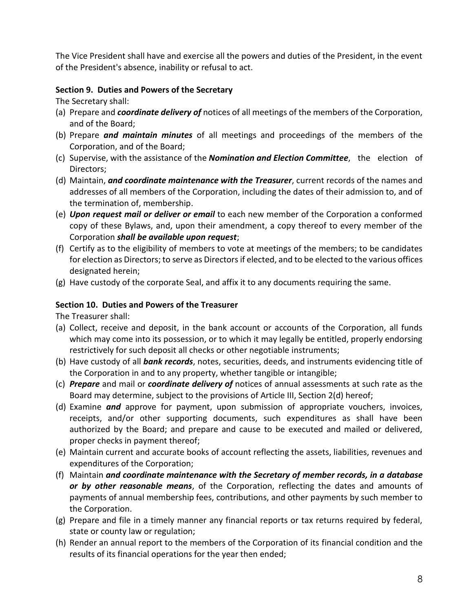The Vice President shall have and exercise all the powers and duties of the President, in the event of the President's absence, inability or refusal to act.

### **Section 9. Duties and Powers of the Secretary**

The Secretary shall:

- (a) Prepare and *coordinate delivery of* notices of all meetings of the members of the Corporation, and of the Board;
- (b) Prepare *and maintain minutes* of all meetings and proceedings of the members of the Corporation, and of the Board;
- (c) Supervise, with the assistance of the *Nomination and Election Committee*, the election of Directors;
- (d) Maintain, *and coordinate maintenance with the Treasurer*, current records of the names and addresses of all members of the Corporation, including the dates of their admission to, and of the termination of, membership.
- (e) *Upon request mail or deliver or email* to each new member of the Corporation a conformed copy of these Bylaws, and, upon their amendment, a copy thereof to every member of the Corporation *shall be available upon request*;
- (f) Certify as to the eligibility of members to vote at meetings of the members; to be candidates for election as Directors; to serve as Directors if elected, and to be elected to the various offices designated herein;
- (g) Have custody of the corporate Seal, and affix it to any documents requiring the same.

### **Section 10. Duties and Powers of the Treasurer**

The Treasurer shall:

- (a) Collect, receive and deposit, in the bank account or accounts of the Corporation, all funds which may come into its possession, or to which it may legally be entitled, properly endorsing restrictively for such deposit all checks or other negotiable instruments;
- (b) Have custody of all *bank records*, notes, securities, deeds, and instruments evidencing title of the Corporation in and to any property, whether tangible or intangible;
- (c) *Prepare* and mail or *coordinate delivery of* notices of annual assessments at such rate as the Board may determine, subject to the provisions of Article III, Section 2(d) hereof;
- (d) Examine *and* approve for payment, upon submission of appropriate vouchers, invoices, receipts, and/or other supporting documents, such expenditures as shall have been authorized by the Board; and prepare and cause to be executed and mailed or delivered, proper checks in payment thereof;
- (e) Maintain current and accurate books of account reflecting the assets, liabilities, revenues and expenditures of the Corporation;
- (f) Maintain *and coordinate maintenance with the Secretary of member records, in a database or by other reasonable means*, of the Corporation, reflecting the dates and amounts of payments of annual membership fees, contributions, and other payments by such member to the Corporation.
- (g) Prepare and file in a timely manner any financial reports or tax returns required by federal, state or county law or regulation;
- (h) Render an annual report to the members of the Corporation of its financial condition and the results of its financial operations for the year then ended;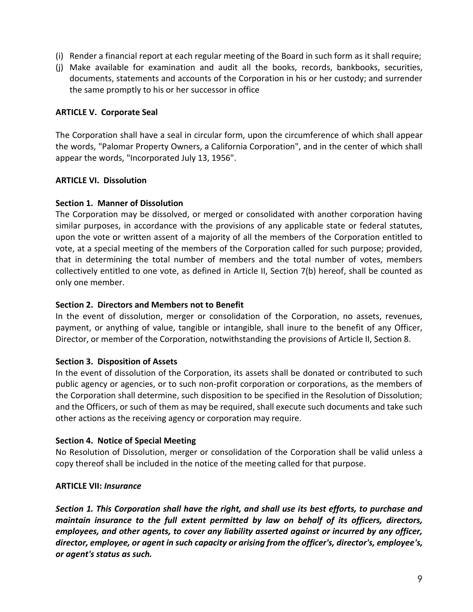- (i) Render a financial report at each regular meeting of the Board in such form as it shall require;
- (j) Make available for examination and audit all the books, records, bankbooks, securities, documents, statements and accounts of the Corporation in his or her custody; and surrender the same promptly to his or her successor in office

### **ARTICLE V. Corporate Seal**

The Corporation shall have a seal in circular form, upon the circumference of which shall appear the words, "Palomar Property Owners, a California Corporation", and in the center of which shall appear the words, "Incorporated July 13, 1956".

### **ARTICLE VI. Dissolution**

### **Section 1. Manner of Dissolution**

The Corporation may be dissolved, or merged or consolidated with another corporation having similar purposes, in accordance with the provisions of any applicable state or federal statutes, upon the vote or written assent of a majority of all the members of the Corporation entitled to vote, at a special meeting of the members of the Corporation called for such purpose; provided, that in determining the total number of members and the total number of votes, members collectively entitled to one vote, as defined in Article II, Section 7(b) hereof, shall be counted as only one member.

#### **Section 2. Directors and Members not to Benefit**

In the event of dissolution, merger or consolidation of the Corporation, no assets, revenues, payment, or anything of value, tangible or intangible, shall inure to the benefit of any Officer, Director, or member of the Corporation, notwithstanding the provisions of Article II, Section 8.

#### **Section 3. Disposition of Assets**

In the event of dissolution of the Corporation, its assets shall be donated or contributed to such public agency or agencies, or to such non-profit corporation or corporations, as the members of the Corporation shall determine, such disposition to be specified in the Resolution of Dissolution; and the Officers, or such of them as may be required, shall execute such documents and take such other actions as the receiving agency or corporation may require.

#### **Section 4. Notice of Special Meeting**

No Resolution of Dissolution, merger or consolidation of the Corporation shall be valid unless a copy thereof shall be included in the notice of the meeting called for that purpose.

#### **ARTICLE VII:** *Insurance*

*Section 1. This Corporation shall have the right, and shall use its best efforts, to purchase and maintain insurance to the full extent permitted by law on behalf of its officers, directors, employees, and other agents, to cover any liability asserted against or incurred by any officer, director, employee, or agent in such capacity or arising from the officer's, director's, employee's, or agent's status as such.*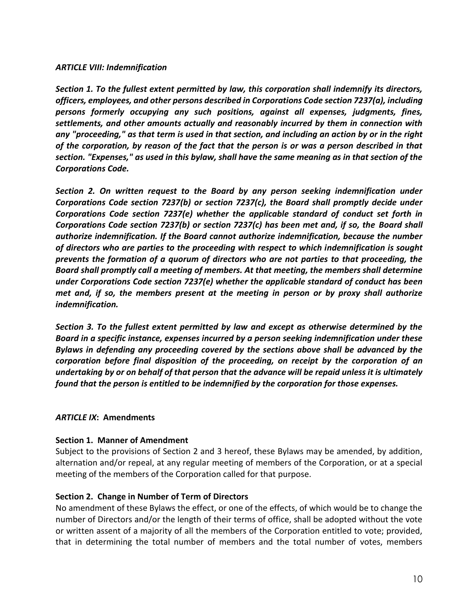#### *ARTICLE VIII: Indemnification*

*Section 1. To the fullest extent permitted by law, this corporation shall indemnify its directors, officers, employees, and other persons described in Corporations Code section 7237(a), including persons formerly occupying any such positions, against all expenses, judgments, fines, settlements, and other amounts actually and reasonably incurred by them in connection with any "proceeding," as that term is used in that section, and including an action by or in the right of the corporation, by reason of the fact that the person is or was a person described in that section. "Expenses," as used in this bylaw, shall have the same meaning as in that section of the Corporations Code.*

*Section 2. On written request to the Board by any person seeking indemnification under Corporations Code section 7237(b) or section 7237(c), the Board shall promptly decide under Corporations Code section 7237(e) whether the applicable standard of conduct set forth in Corporations Code section 7237(b) or section 7237(c) has been met and, if so, the Board shall authorize indemnification. If the Board cannot authorize indemnification, because the number of directors who are parties to the proceeding with respect to which indemnification is sought prevents the formation of a quorum of directors who are not parties to that proceeding, the Board shall promptly call a meeting of members. At that meeting, the members shall determine under Corporations Code section 7237(e) whether the applicable standard of conduct has been met and, if so, the members present at the meeting in person or by proxy shall authorize indemnification.*

*Section 3. To the fullest extent permitted by law and except as otherwise determined by the Board in a specific instance, expenses incurred by a person seeking indemnification under these Bylaws in defending any proceeding covered by the sections above shall be advanced by the corporation before final disposition of the proceeding, on receipt by the corporation of an undertaking by or on behalf of that person that the advance will be repaid unless it is ultimately found that the person is entitled to be indemnified by the corporation for those expenses.*

#### *ARTICLE IX***: Amendments**

#### **Section 1. Manner of Amendment**

Subject to the provisions of Section 2 and 3 hereof, these Bylaws may be amended, by addition, alternation and/or repeal, at any regular meeting of members of the Corporation, or at a special meeting of the members of the Corporation called for that purpose.

#### **Section 2. Change in Number of Term of Directors**

No amendment of these Bylaws the effect, or one of the effects, of which would be to change the number of Directors and/or the length of their terms of office, shall be adopted without the vote or written assent of a majority of all the members of the Corporation entitled to vote; provided, that in determining the total number of members and the total number of votes, members